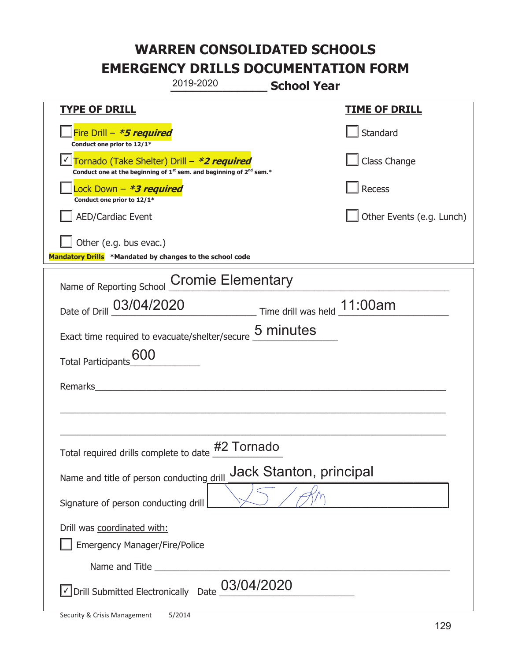|                                                                                    | 2019-2020                                                                                    | <b>School Year</b>          |
|------------------------------------------------------------------------------------|----------------------------------------------------------------------------------------------|-----------------------------|
| <u>TYPE OF DRILL</u>                                                               |                                                                                              | <b>TIME OF DRILL</b>        |
| Fire Drill - *5 required<br>Conduct one prior to 12/1*                             |                                                                                              | Standard                    |
| Tornado (Take Shelter) Drill – *2 required                                         | Conduct one at the beginning of 1 <sup>st</sup> sem. and beginning of 2 <sup>nd</sup> sem.*  | Class Change                |
| Lock Down - *3 required<br>Conduct one prior to 12/1*                              |                                                                                              | Recess                      |
| <b>AED/Cardiac Event</b>                                                           |                                                                                              | Other Events (e.g. Lunch)   |
| Other (e.g. bus evac.)<br>Mandatory Drills *Mandated by changes to the school code |                                                                                              |                             |
| Name of Reporting School                                                           | <b>Cromie Elementary</b>                                                                     |                             |
| Date of Drill 03/04/2020                                                           |                                                                                              | Time drill was held 11:00am |
|                                                                                    | Exact time required to evacuate/shelter/secure 5 minutes                                     |                             |
| <b>Total Participants</b>                                                          |                                                                                              |                             |
| <b>Remarks</b>                                                                     |                                                                                              |                             |
|                                                                                    |                                                                                              |                             |
|                                                                                    | Total required drills complete to date #2 Tornado                                            |                             |
| Name and title of person conducting drill                                          |                                                                                              | Jack Stanton, principal     |
| Signature of person conducting drill                                               |                                                                                              |                             |
| Drill was coordinated with:<br><b>Emergency Manager/Fire/Police</b>                |                                                                                              |                             |
|                                                                                    |                                                                                              |                             |
|                                                                                    | $\sqrt{\phantom{a}}$ Drill Submitted Electronically Date $\underline{\phantom{a}03/04/2020}$ |                             |

T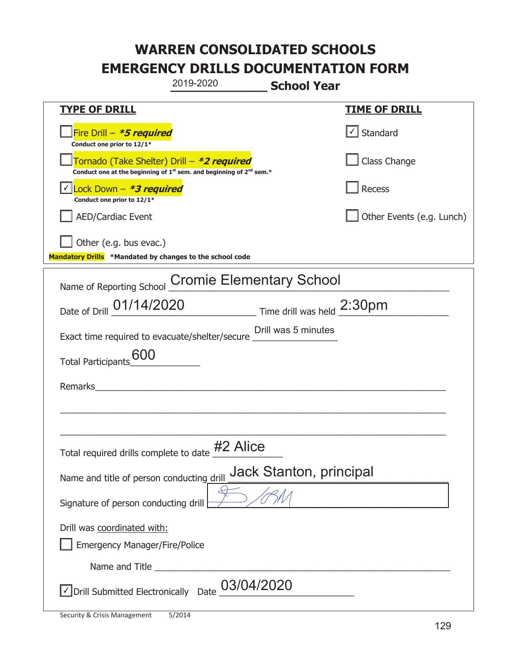|                                                                                    | 2019-2020                                                                                   | <b>School Year</b>      |                                                  |
|------------------------------------------------------------------------------------|---------------------------------------------------------------------------------------------|-------------------------|--------------------------------------------------|
| <b>TYPE OF DRILL</b>                                                               |                                                                                             |                         | <u>TIME OF DRILL</u>                             |
| Fire Drill - *5 required<br>Conduct one prior to 12/1*                             |                                                                                             |                         | $\vert\textcolor{red}{\checkmark}\vert$ Standard |
| Tornado (Take Shelter) Drill – *2 required                                         | Conduct one at the beginning of 1 <sup>st</sup> sem. and beginning of 2 <sup>nd</sup> sem.* |                         | Class Change                                     |
| $\vert$ Lock Down - *3 required<br>Conduct one prior to 12/1*                      |                                                                                             |                         | Recess                                           |
| <b>AED/Cardiac Event</b>                                                           |                                                                                             |                         | Other Events (e.g. Lunch)                        |
| Other (e.g. bus evac.)<br>Mandatory Drills *Mandated by changes to the school code |                                                                                             |                         |                                                  |
| Name of Reporting School                                                           | <b>Cromie Elementary School</b>                                                             |                         |                                                  |
| Date of Drill 01/14/2020 Time drill was held 2:30pm                                |                                                                                             |                         |                                                  |
| Exact time required to evacuate/shelter/secure __________________________________  |                                                                                             |                         |                                                  |
| Total Participants_600                                                             |                                                                                             |                         |                                                  |
| Remarks                                                                            |                                                                                             |                         |                                                  |
|                                                                                    |                                                                                             |                         |                                                  |
| Total required drills complete to date #2 Alice                                    |                                                                                             |                         |                                                  |
| Name and title of person conducting drill                                          |                                                                                             | Jack Stanton, principal |                                                  |
| Signature of person conducting drill                                               |                                                                                             |                         |                                                  |
| Drill was coordinated with:<br><b>Emergency Manager/Fire/Police</b>                |                                                                                             |                         |                                                  |
|                                                                                    |                                                                                             |                         |                                                  |
| √ Drill Submitted Electronically Date                                              | 03/04/2020                                                                                  |                         |                                                  |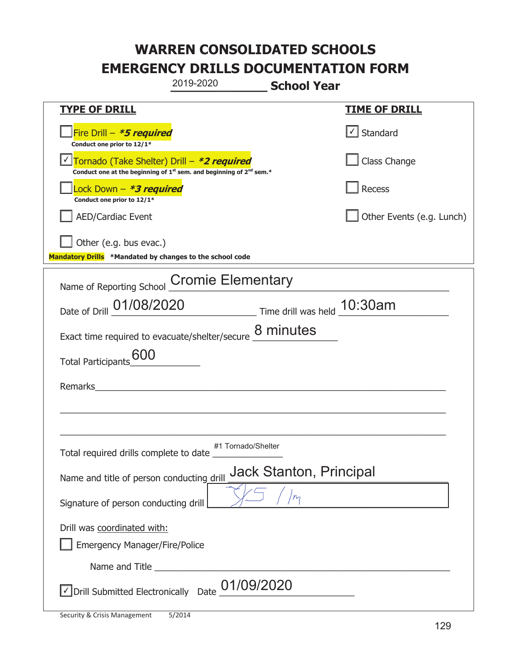|                                                                                                                                           | 2019-2020<br><b>School Year</b>                          |                           |
|-------------------------------------------------------------------------------------------------------------------------------------------|----------------------------------------------------------|---------------------------|
| <u>TYPE OF DRILL</u>                                                                                                                      |                                                          | <b>TIME OF DRILL</b>      |
| Fire Drill - *5 required<br>Conduct one prior to 12/1*                                                                                    |                                                          | √ Standard                |
| Tornado (Take Shelter) Drill – *2 required<br>Conduct one at the beginning of 1 <sup>st</sup> sem. and beginning of 2 <sup>nd</sup> sem.* |                                                          | Class Change              |
| Lock Down - *3 required<br>Conduct one prior to 12/1*                                                                                     |                                                          | Recess                    |
| <b>AED/Cardiac Event</b>                                                                                                                  |                                                          | Other Events (e.g. Lunch) |
| Other (e.g. bus evac.)<br>Mandatory Drills *Mandated by changes to the school code                                                        |                                                          |                           |
| Name of Reporting School                                                                                                                  | <b>Cromie Elementary</b>                                 |                           |
| Date of Drill 01/08/2020                                                                                                                  | Time drill was held 10:30am                              |                           |
|                                                                                                                                           | Exact time required to evacuate/shelter/secure 8 minutes |                           |
| <b>Total Participants</b>                                                                                                                 |                                                          |                           |
| <b>Remarks</b>                                                                                                                            |                                                          |                           |
|                                                                                                                                           |                                                          |                           |
| Total required drills complete to date                                                                                                    | #1 Tornado/Shelter                                       |                           |
| Name and title of person conducting drill                                                                                                 | Jack Stanton, Principal                                  |                           |
| Signature of person conducting drill                                                                                                      |                                                          |                           |
| Drill was coordinated with:<br><b>Emergency Manager/Fire/Police</b>                                                                       |                                                          |                           |
|                                                                                                                                           |                                                          |                           |
| √ Drill Submitted Electronically Date                                                                                                     | 01/09/2020                                               |                           |

t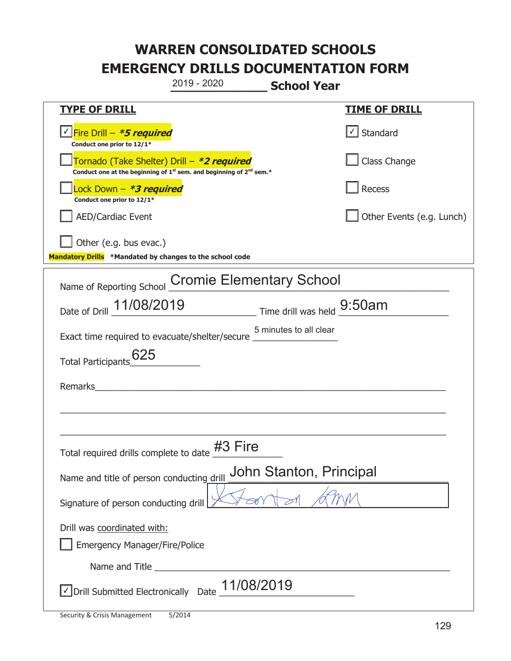**\_\_\_\_\_\_\_\_\_\_\_\_\_ School Year TYPE OF DRILL TIME OF DRILL**  <mark>▽ Fire Drill – *\*5 required* マイクレント マイクレント マイクレント マイクレント マイクレント マイクレント マイクレント マイクレント</mark> **Conduct one prior to 12/1\***   $\boxed{\sqrt}$  Standard 侊Tornado (Take Shelter) Drill – **\*2 required Conduct one at the beginning of 1<sup>st</sup> sem. and beginning of 2<sup>nd</sup> sem.\*** Class Change 侊Lock Down – **\*3 required Conduct one prior to 12/1\* Recess** AED/Cardiac Event **AED/Cardiac Event Network Network Network Network Network Network Network Network Network Network Network Network Network Network Network Network Network Network Net** Other (e.g. bus evac.) **Mandatory Drills \*Mandated by changes to the school code**  Name of Reporting School Cromie Elementary School Date of Drill  $\frac{11/08/2019}{2}$  Time drill was held  $\frac{9:50am}{2}$ Exact time required to evacuate/shelter/secure \_\_\_\_\_\_\_\_\_\_\_\_\_\_\_\_\_ 5 minutes to all clear Total Participants $\underline{625}$ Remarks  $\_$  , and the set of the set of the set of the set of the set of the set of the set of the set of the set of the set of the set of the set of the set of the set of the set of the set of the set of the set of the set of th \_\_\_\_\_\_\_\_\_\_\_\_\_\_\_\_\_\_\_\_\_\_\_\_\_\_\_\_\_\_\_\_\_\_\_\_\_\_\_\_\_\_\_\_\_\_\_\_\_\_\_\_\_\_\_\_\_\_\_\_\_\_\_\_\_\_\_\_\_\_\_\_\_\_\_\_\_ Total required drills complete to date  $\frac{\#3 \text{ Fire}}{\}$ Name and title of person conducting drill John Stanton, Principal Signature of person conducting drill  $\ket{\cancel{\text{max}}$ Drill was coordinated with: ܆ Emergency Manager/Fire/Police Name and Title **Example 20**  $\triangledown$  Drill Submitted Electronically Date  $\underline{11/08/2019}$ 2019 - 2020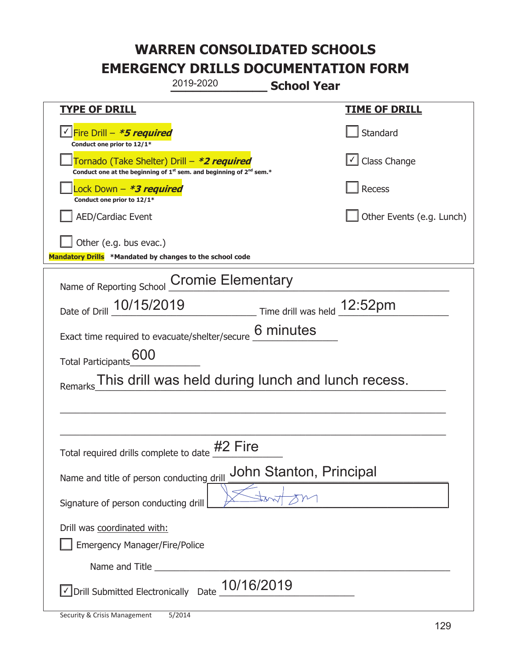|                                                                                                                             | 2019-2020<br><b>School Year</b>                          |                           |
|-----------------------------------------------------------------------------------------------------------------------------|----------------------------------------------------------|---------------------------|
| <b>TYPE OF DRILL</b>                                                                                                        |                                                          | <u>TIME OF DRILL</u>      |
| <u>√ Fire Drill – *5 required</u><br>Conduct one prior to 12/1*                                                             |                                                          | Standard                  |
| Tornado (Take Shelter) Drill – *2 required<br>Conduct one at the beginning of $1^{st}$ sem. and beginning of $2^{nd}$ sem.* |                                                          | $\cup$ Class Change       |
| Lock Down - <b>*3 required</b><br>Conduct one prior to 12/1*                                                                |                                                          | Recess                    |
| <b>AED/Cardiac Event</b>                                                                                                    |                                                          | Other Events (e.g. Lunch) |
| Other (e.g. bus evac.)<br>Mandatory Drills *Mandated by changes to the school code                                          |                                                          |                           |
| Name of Reporting School                                                                                                    | <b>Cromie Elementary</b>                                 |                           |
| Date of Drill 10/15/2019                                                                                                    | $\frac{12.52}{1}$ Time drill was held $\frac{12.52}{1}$  |                           |
|                                                                                                                             | Exact time required to evacuate/shelter/secure 6 minutes |                           |
| 600<br><b>Total Participants</b>                                                                                            |                                                          |                           |
| Remarks                                                                                                                     | This drill was held during lunch and lunch recess.       |                           |
|                                                                                                                             |                                                          |                           |
|                                                                                                                             |                                                          |                           |
| Total required drills complete to date                                                                                      | #2 Fire<br>#2                                            |                           |
| Name and title of person conducting drill                                                                                   | John Stanton, Principal                                  |                           |
| Signature of person conducting drill                                                                                        |                                                          |                           |
| Drill was coordinated with:<br><b>Emergency Manager/Fire/Police</b>                                                         |                                                          |                           |
|                                                                                                                             |                                                          |                           |
| √ Drill Submitted Electronically Date                                                                                       | 10/16/2019                                               |                           |

t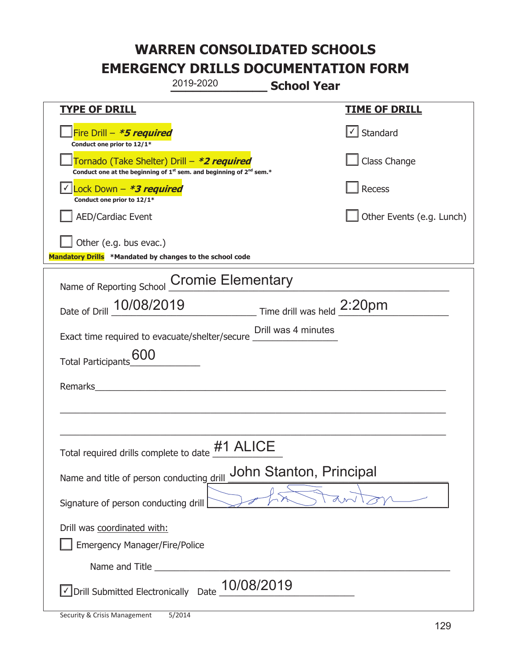|                                                                                    | 2019-2020                                                                                   | <b>School Year</b>      |                           |
|------------------------------------------------------------------------------------|---------------------------------------------------------------------------------------------|-------------------------|---------------------------|
| <b>TYPE OF DRILL</b>                                                               |                                                                                             |                         | <u>TIME OF DRILL</u>      |
| Fire Drill - *5 required<br>Conduct one prior to 12/1*                             |                                                                                             |                         | $\cup$ Standard           |
| Tornado (Take Shelter) Drill – *2 required                                         | Conduct one at the beginning of 1 <sup>st</sup> sem. and beginning of 2 <sup>nd</sup> sem.* |                         | Class Change              |
| Lock Down - *3 required<br>Conduct one prior to 12/1*                              |                                                                                             |                         | Recess                    |
| <b>AED/Cardiac Event</b>                                                           |                                                                                             |                         | Other Events (e.g. Lunch) |
| Other (e.g. bus evac.)<br>Mandatory Drills *Mandated by changes to the school code |                                                                                             |                         |                           |
| Name of Reporting School                                                           | <b>Cromie Elementary</b>                                                                    |                         |                           |
| Date of Drill 10/08/2019 Time drill was held 2:20pm                                |                                                                                             |                         |                           |
| Exact time required to evacuate/shelter/secure __________________________________  |                                                                                             |                         |                           |
| Total Participants 600                                                             |                                                                                             |                         |                           |
| Remarks                                                                            |                                                                                             |                         |                           |
|                                                                                    |                                                                                             |                         |                           |
| Total required drills complete to date                                             | #1 ALICE                                                                                    |                         |                           |
| Name and title of person conducting drill                                          |                                                                                             | John Stanton, Principal |                           |
| Signature of person conducting drill                                               |                                                                                             |                         |                           |
| Drill was coordinated with:<br><b>Emergency Manager/Fire/Police</b>                |                                                                                             |                         |                           |
| Name and Title _________                                                           |                                                                                             |                         |                           |
| √ Drill Submitted Electronically Date                                              | 10/08/2019                                                                                  |                         |                           |